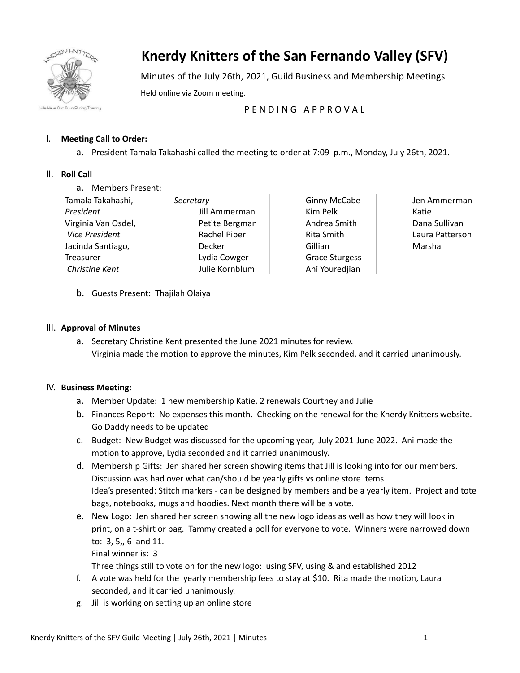

# **Knerdy Knitters of the San Fernando Valley (SFV)**

Minutes of the July 26th, 2021, Guild Business and Membership Meetings Held online via Zoom meeting.

# P F N D I N G A P P R O V A L

## I. **Meeting Call to Order:**

a. President Tamala Takahashi called the meeting to order at 7:09 p.m., Monday, July 26th, 2021.

### II. **Roll Call**

a. Members Present:

| Tamala Takahashi,     | Secretary      |
|-----------------------|----------------|
| President             | Jill Ammerman  |
| Virginia Van Osdel,   | Petite Bergman |
| <b>Vice President</b> | Rachel Piper   |
| Jacinda Santiago,     | Decker         |
| <b>Treasurer</b>      | Lydia Cowger   |
| Christine Kent        | Julie Kornblum |

Ginny McCabe Kim Pelk Andrea Smith Rita Smith **Gillian** Grace Sturgess Ani Youredjian Jen Ammerman Katie Dana Sullivan Laura Patterson Marsha

b. Guests Present: Thajilah Olaiya

#### III. **Approval of Minutes**

a. Secretary Christine Kent presented the June 2021 minutes for review. Virginia made the motion to approve the minutes, Kim Pelk seconded, and it carried unanimously.

### IV. **Business Meeting:**

- a. Member Update: 1 new membership Katie, 2 renewals Courtney and Julie
- b. Finances Report: No expenses this month. Checking on the renewal for the Knerdy Knitters website. Go Daddy needs to be updated
- c. Budget: New Budget was discussed for the upcoming year, July 2021-June 2022. Ani made the motion to approve, Lydia seconded and it carried unanimously.
- d. Membership Gifts: Jen shared her screen showing items that Jill is looking into for our members. Discussion was had over what can/should be yearly gifts vs online store items Idea's presented: Stitch markers - can be designed by members and be a yearly item. Project and tote bags, notebooks, mugs and hoodies. Next month there will be a vote.
- e. New Logo: Jen shared her screen showing all the new logo ideas as well as how they will look in print, on a t-shirt or bag. Tammy created a poll for everyone to vote. Winners were narrowed down to: 3, 5,, 6 and 11.

Final winner is: 3

Three things still to vote on for the new logo: using SFV, using & and established 2012

- f. A vote was held for the yearly membership fees to stay at \$10. Rita made the motion, Laura seconded, and it carried unanimously.
- g. Jill is working on setting up an online store